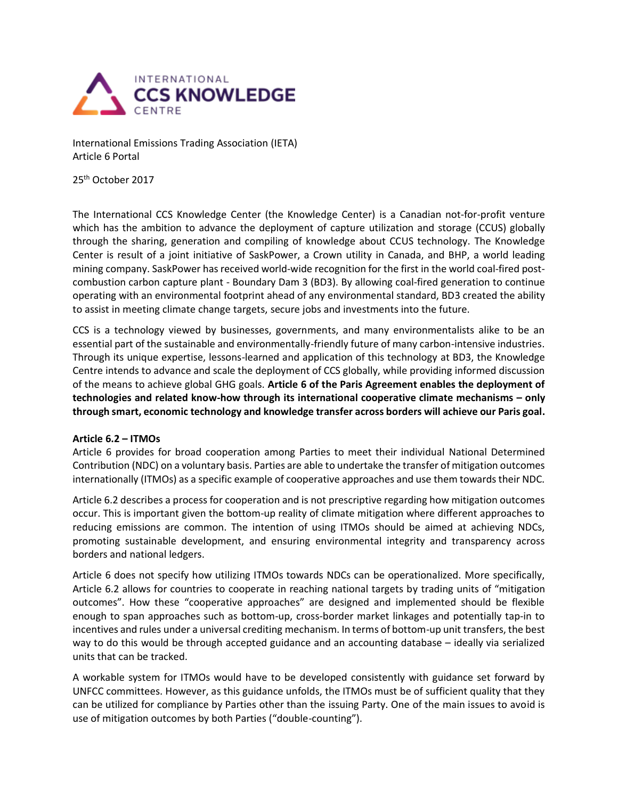

International Emissions Trading Association (IETA) Article 6 Portal

25th October 2017

The International CCS Knowledge Center (the Knowledge Center) is a Canadian not-for-profit venture which has the ambition to advance the deployment of capture utilization and storage (CCUS) globally through the sharing, generation and compiling of knowledge about CCUS technology. The Knowledge Center is result of a joint initiative of SaskPower, a Crown utility in Canada, and BHP, a world leading mining company. SaskPower has received world-wide recognition for the first in the world coal-fired postcombustion carbon capture plant - Boundary Dam 3 (BD3). By allowing coal-fired generation to continue operating with an environmental footprint ahead of any environmental standard, BD3 created the ability to assist in meeting climate change targets, secure jobs and investments into the future.

CCS is a technology viewed by businesses, governments, and many environmentalists alike to be an essential part of the sustainable and environmentally-friendly future of many carbon-intensive industries. Through its unique expertise, lessons-learned and application of this technology at BD3, the Knowledge Centre intends to advance and scale the deployment of CCS globally, while providing informed discussion of the means to achieve global GHG goals. **Article 6 of the Paris Agreement enables the deployment of technologies and related know-how through its international cooperative climate mechanisms – only through smart, economic technology and knowledge transfer across borders will achieve our Paris goal.**

## **Article 6.2 – ITMOs**

Article 6 provides for broad cooperation among Parties to meet their individual National Determined Contribution (NDC) on a voluntary basis. Parties are able to undertake the transfer of mitigation outcomes internationally (ITMOs) as a specific example of cooperative approaches and use them towards their NDC.

Article 6.2 describes a process for cooperation and is not prescriptive regarding how mitigation outcomes occur. This is important given the bottom-up reality of climate mitigation where different approaches to reducing emissions are common. The intention of using ITMOs should be aimed at achieving NDCs, promoting sustainable development, and ensuring environmental integrity and transparency across borders and national ledgers.

Article 6 does not specify how utilizing ITMOs towards NDCs can be operationalized. More specifically, Article 6.2 allows for countries to cooperate in reaching national targets by trading units of "mitigation outcomes". How these "cooperative approaches" are designed and implemented should be flexible enough to span approaches such as bottom-up, cross-border market linkages and potentially tap-in to incentives and rules under a universal crediting mechanism. In terms of bottom-up unit transfers, the best way to do this would be through accepted guidance and an accounting database – ideally via serialized units that can be tracked.

A workable system for ITMOs would have to be developed consistently with guidance set forward by UNFCC committees. However, as this guidance unfolds, the ITMOs must be of sufficient quality that they can be utilized for compliance by Parties other than the issuing Party. One of the main issues to avoid is use of mitigation outcomes by both Parties ("double-counting").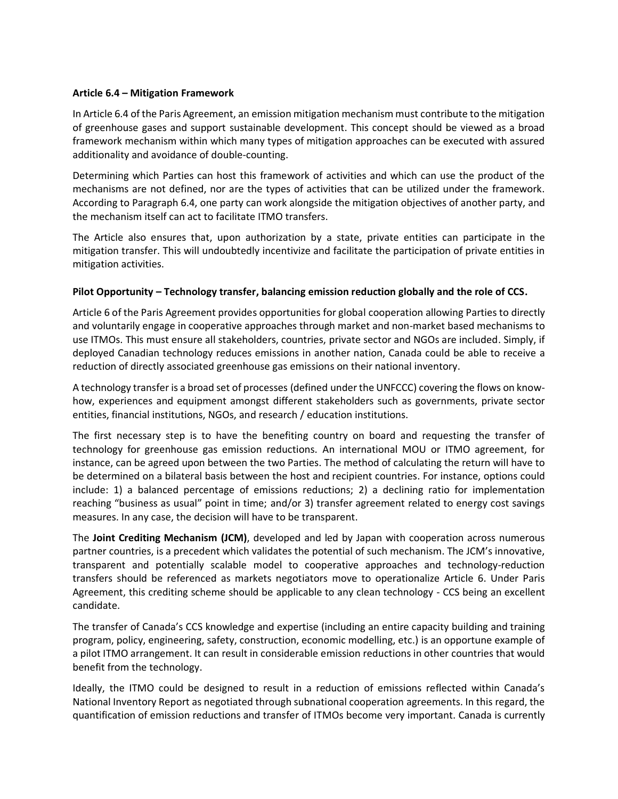## **Article 6.4 – Mitigation Framework**

In Article 6.4 of the Paris Agreement, an emission mitigation mechanism must contribute to the mitigation of greenhouse gases and support sustainable development. This concept should be viewed as a broad framework mechanism within which many types of mitigation approaches can be executed with assured additionality and avoidance of double-counting.

Determining which Parties can host this framework of activities and which can use the product of the mechanisms are not defined, nor are the types of activities that can be utilized under the framework. According to Paragraph 6.4, one party can work alongside the mitigation objectives of another party, and the mechanism itself can act to facilitate ITMO transfers.

The Article also ensures that, upon authorization by a state, private entities can participate in the mitigation transfer. This will undoubtedly incentivize and facilitate the participation of private entities in mitigation activities.

## **Pilot Opportunity – Technology transfer, balancing emission reduction globally and the role of CCS.**

Article 6 of the Paris Agreement provides opportunities for global cooperation allowing Parties to directly and voluntarily engage in cooperative approaches through market and non-market based mechanisms to use ITMOs. This must ensure all stakeholders, countries, private sector and NGOs are included. Simply, if deployed Canadian technology reduces emissions in another nation, Canada could be able to receive a reduction of directly associated greenhouse gas emissions on their national inventory.

A technology transfer is a broad set of processes (defined under the UNFCCC) covering the flows on knowhow, experiences and equipment amongst different stakeholders such as governments, private sector entities, financial institutions, NGOs, and research / education institutions.

The first necessary step is to have the benefiting country on board and requesting the transfer of technology for greenhouse gas emission reductions. An international MOU or ITMO agreement, for instance, can be agreed upon between the two Parties. The method of calculating the return will have to be determined on a bilateral basis between the host and recipient countries. For instance, options could include: 1) a balanced percentage of emissions reductions; 2) a declining ratio for implementation reaching "business as usual" point in time; and/or 3) transfer agreement related to energy cost savings measures. In any case, the decision will have to be transparent.

The **Joint Crediting Mechanism (JCM)**, developed and led by Japan with cooperation across numerous partner countries, is a precedent which validates the potential of such mechanism. The JCM's innovative, transparent and potentially scalable model to cooperative approaches and technology-reduction transfers should be referenced as markets negotiators move to operationalize Article 6. Under Paris Agreement, this crediting scheme should be applicable to any clean technology - CCS being an excellent candidate.

The transfer of Canada's CCS knowledge and expertise (including an entire capacity building and training program, policy, engineering, safety, construction, economic modelling, etc.) is an opportune example of a pilot ITMO arrangement. It can result in considerable emission reductions in other countries that would benefit from the technology.

Ideally, the ITMO could be designed to result in a reduction of emissions reflected within Canada's National Inventory Report as negotiated through subnational cooperation agreements. In this regard, the quantification of emission reductions and transfer of ITMOs become very important. Canada is currently